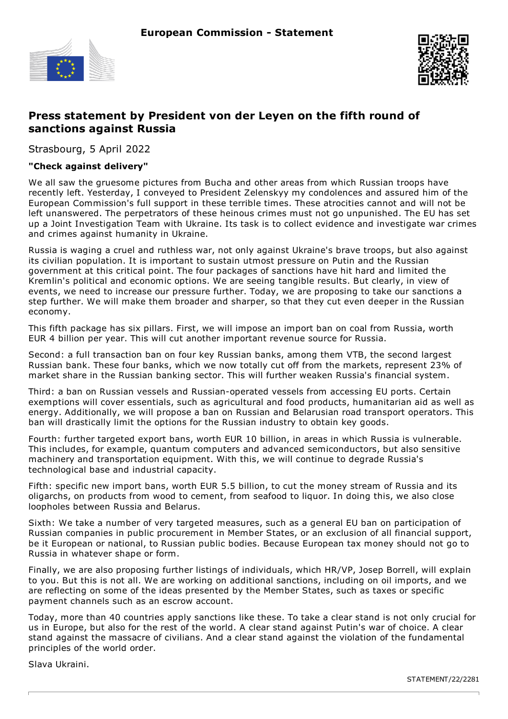



## **Press statement by President von der Leyen on the fifth round of sanctions against Russia**

Strasbourg, 5 April 2022

## **"Check against delivery"**

We all saw the gruesome pictures from Bucha and other areas from which Russian troops have recently left. Yesterday, I conveyed to President Zelenskyy my condolences and assured him of the European Commission's full support in these terrible times. These atrocities cannot and will not be left unanswered. The perpetrators of these heinous crimes must not go unpunished. The EU has set up a Joint Investigation Team with Ukraine. Its task is to collect evidence and investigate war crimes and crimes against humanity in Ukraine.

Russia is waging a cruel and ruthless war, not only against Ukraine's brave troops, but also against its civilian population. It is important to sustain utmost pressure on Putin and the Russian government at this critical point. The four packages of sanctions have hit hard and limited the Kremlin's political and economic options. We are seeing tangible results. But clearly, in view of events, we need to increase our pressure further. Today, we are proposing to take our sanctions a step further. We will make them broader and sharper, so that they cut even deeper in the Russian economy.

This fifth package has six pillars. First, we will impose an import ban on coal from Russia, worth EUR 4 billion per year. This will cut another important revenue source for Russia.

Second: a full transaction ban on four key Russian banks, among them VTB, the second largest Russian bank. These four banks, which we now totally cut off from the markets, represent 23% of market share in the Russian banking sector. This will further weaken Russia's financial system.

Third: a ban on Russian vessels and Russian-operated vessels from accessing EU ports. Certain exemptions will cover essentials, such as agricultural and food products, humanitarian aid as well as energy. Additionally, we will propose a ban on Russian and Belarusian road transport operators. This ban will drastically limit the options for the Russian industry to obtain key goods.

Fourth: further targeted export bans, worth EUR 10 billion, in areas in which Russia is vulnerable. This includes, for example, quantum computers and advanced semiconductors, but also sensitive machinery and transportation equipment. With this, we will continue to degrade Russia's technological base and industrial capacity.

Fifth: specific new import bans, worth EUR 5.5 billion, to cut the money stream of Russia and its oligarchs, on products from wood to cement, from seafood to liquor. In doing this, we also close loopholes between Russia and Belarus.

Sixth: We take a number of very targeted measures, such as a general EU ban on participation of Russian companies in public procurement in Member States, or an exclusion of all financial support, be it European or national, to Russian public bodies. Because European tax money should not go to Russia in whatever shape or form.

Finally, we are also proposing further listings of individuals, which HR/VP, Josep Borrell, will explain to you. But this is not all. We are working on additional sanctions, including on oil imports, and we are reflecting on some of the ideas presented by the Member States, such as taxes or specific payment channels such as an escrow account.

Today, more than 40 countries apply sanctions like these. To take a clear stand is not only crucial for us in Europe, but also for the rest of the world. A clear stand against Putin's war of choice. A clear stand against the massacre of civilians. And a clear stand against the violation of the fundamental principles of the world order.

Slava Ukraini.